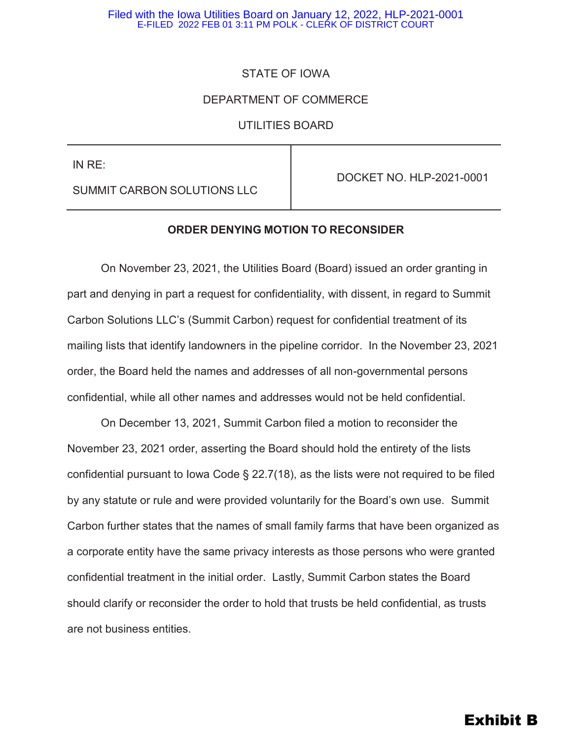#### Filed with the Iowa Utilities Board on January 12, 2022, HLP-2021-0001 E-FILED 2022 FEB 01 3:11 PM POLK - CLERK OF DISTRICT COURT

# STATE OF IOWA

# DEPARTMENT OF COMMERCE

UTILITIES BOARD

IN RE:

DOCKET NO. HLP-2021-0001

SUMMIT CARBON SOLUTIONS LLC

### **ORDER DENYING MOTION TO RECONSIDER**

On November 23, 2021, the Utilities Board (Board) issued an order granting in part and denying in part a request for confidentiality, with dissent, in regard to Summit Carbon Solutions LLC's (Summit Carbon) request for confidential treatment of its mailing lists that identify landowners in the pipeline corridor. In the November 23, 2021 order, the Board held the names and addresses of all non-governmental persons confidential, while all other names and addresses would not be held confidential.

On December 13, 2021, Summit Carbon filed a motion to reconsider the November 23, 2021 order, asserting the Board should hold the entirety of the lists confidential pursuant to Iowa Code § 22.7(18), as the lists were not required to be filed by any statute or rule and were provided voluntarily for the Board's own use. Summit Carbon further states that the names of small family farms that have been organized as a corporate entity have the same privacy interests as those persons who were granted confidential treatment in the initial order. Lastly, Summit Carbon states the Board should clarify or reconsider the order to hold that trusts be held confidential, as trusts are not business entities.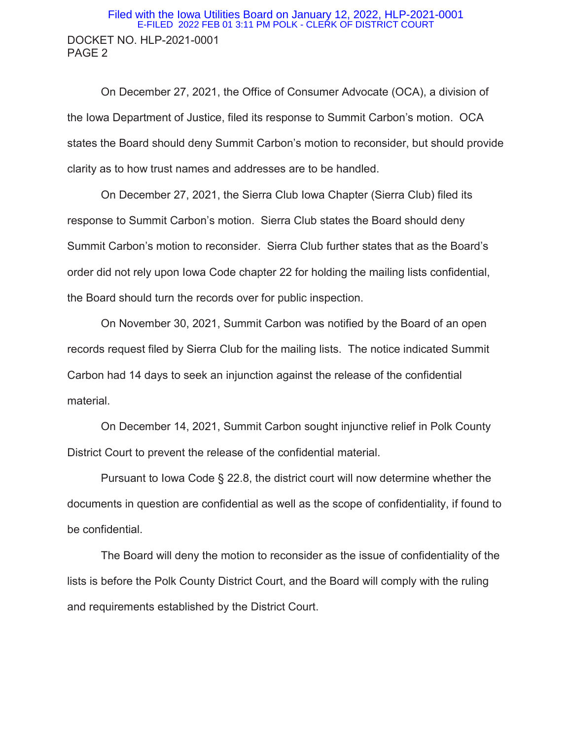# DOCKET NO. HLP-2021-0001 PAGE 2 Filed with the Iowa Utilities Board on January 12, 2022, HLP-2021-0001 E-FILED 2022 FEB 01 3:11 PM POLK - CLERK OF DISTRICT COURT

 On December 27, 2021, the Office of Consumer Advocate (OCA), a division of the Iowa Department of Justice, filed its response to Summit Carbon's motion. OCA states the Board should deny Summit Carbon's motion to reconsider, but should provide clarity as to how trust names and addresses are to be handled.

 On December 27, 2021, the Sierra Club Iowa Chapter (Sierra Club) filed its response to Summit Carbon's motion. Sierra Club states the Board should deny Summit Carbon's motion to reconsider. Sierra Club further states that as the Board's order did not rely upon Iowa Code chapter 22 for holding the mailing lists confidential, the Board should turn the records over for public inspection.

 On November 30, 2021, Summit Carbon was notified by the Board of an open records request filed by Sierra Club for the mailing lists. The notice indicated Summit Carbon had 14 days to seek an injunction against the release of the confidential material.

 On December 14, 2021, Summit Carbon sought injunctive relief in Polk County District Court to prevent the release of the confidential material.

 Pursuant to Iowa Code § 22.8, the district court will now determine whether the documents in question are confidential as well as the scope of confidentiality, if found to be confidential.

 The Board will deny the motion to reconsider as the issue of confidentiality of the lists is before the Polk County District Court, and the Board will comply with the ruling and requirements established by the District Court.